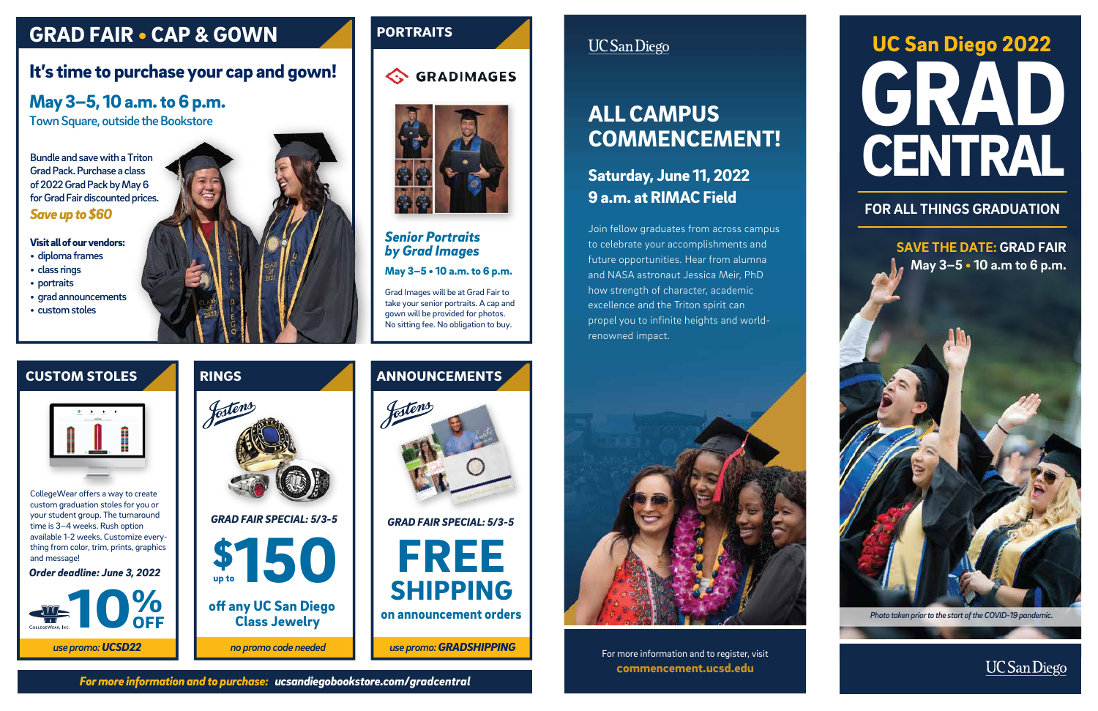# GRAD CENTRAL UC San Diego 2022

#### **FOR ALL THINGS GRADUATION**

**SAVE THE DATE: GRAD FAIR May 3–5 • 10 a.m to 6 p.m.**

**Photo** *taken prior to the start of the COVID-19 pandemic.* 



# GRAD FAIR • CAP & GOWN





CollegeWear offers a way to create custom graduation stoles for you or your student group. The turnaround time is 3–4 weeks. Rush option available 1-2 weeks. Customize everything from color, trim, prints, graphics and message!

*For more information and to purchase: ucsandiegobookstore.com/gradcentral*

Bundle and save with a Triton Grad Pack. Purchase a class of 2022 Grad Pack by May 6 for Grad Fair discounted prices. *Save up to \$60*



*Order deadline: June 3, 2022* \$





#### *Senior Portraits by Grad Images*

May 3–5 • 10 a.m. to 6 p.m.

# May 3–5, 10 a.m. to 6 p.m.

Town Square, outside the Bookstore

## It's time to purchase your cap and gown!

#### Visit all of our vendors:

- diploma frames
- class rings
- portraits
- grad announcements
- custom stoles



### **PORTRAITS**





Grad Images will be at Grad Fair to take your senior portraits. A cap and gown will be provided for photos. No sitting fee. No obligation to buy.

### **UC** San Diego

## Saturday, June 11, 2022 9 a.m. at RIMAC Field

For more information and to register, visit ommencement.ucsd.edu

# ALL CAMPUS COMMENCEMENT!

Join fellow graduates from across campus to celebrate your accomplishments and future opportunities. Hear from alumna and NASA astronaut Jessica Meir, PhD how strength of character, academic excellence and the Triton spirit can propel you to infinite heights and worldrenowned impact.